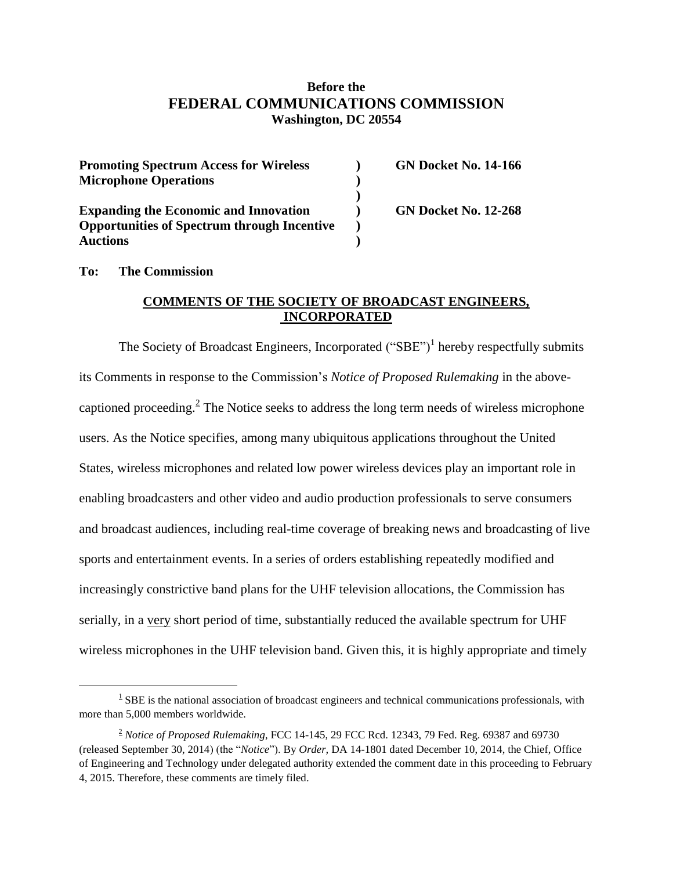# **Before the FEDERAL COMMUNICATIONS COMMISSION Washington, DC 20554**

| <b>Promoting Spectrum Access for Wireless</b>      | <b>GN Docket No. 14-166</b> |
|----------------------------------------------------|-----------------------------|
| <b>Microphone Operations</b>                       |                             |
|                                                    |                             |
| <b>Expanding the Economic and Innovation</b>       | <b>GN Docket No. 12-268</b> |
| <b>Opportunities of Spectrum through Incentive</b> |                             |
| <b>Auctions</b>                                    |                             |

#### **To: The Commission**

 $\overline{a}$ 

#### **COMMENTS OF THE SOCIETY OF BROADCAST ENGINEERS, INCORPORATED**

The Society of Broadcast Engineers, Incorporated  $("SBE")<sup>1</sup>$  hereby respectfully submits its Comments in response to the Commission's *Notice of Proposed Rulemaking* in the abovecaptioned proceeding. $2$  The Notice seeks to address the long term needs of wireless microphone users. As the Notice specifies, among many ubiquitous applications throughout the United States, wireless microphones and related low power wireless devices play an important role in enabling broadcasters and other video and audio production professionals to serve consumers and broadcast audiences, including real-time coverage of breaking news and broadcasting of live sports and entertainment events. In a series of orders establishing repeatedly modified and increasingly constrictive band plans for the UHF television allocations, the Commission has serially, in a very short period of time, substantially reduced the available spectrum for UHF wireless microphones in the UHF television band. Given this, it is highly appropriate and timely

 $1 \text{ SBE}$  is the national association of broadcast engineers and technical communications professionals, with more than 5,000 members worldwide.

<sup>2</sup> *Notice of Proposed Rulemaking*, FCC 14-145, 29 FCC Rcd. 12343, 79 Fed. Reg. 69387 and 69730 (released September 30, 2014) (the "*Notice*"). By *Order,* DA 14-1801 dated December 10, 2014, the Chief, Office of Engineering and Technology under delegated authority extended the comment date in this proceeding to February 4, 2015. Therefore, these comments are timely filed.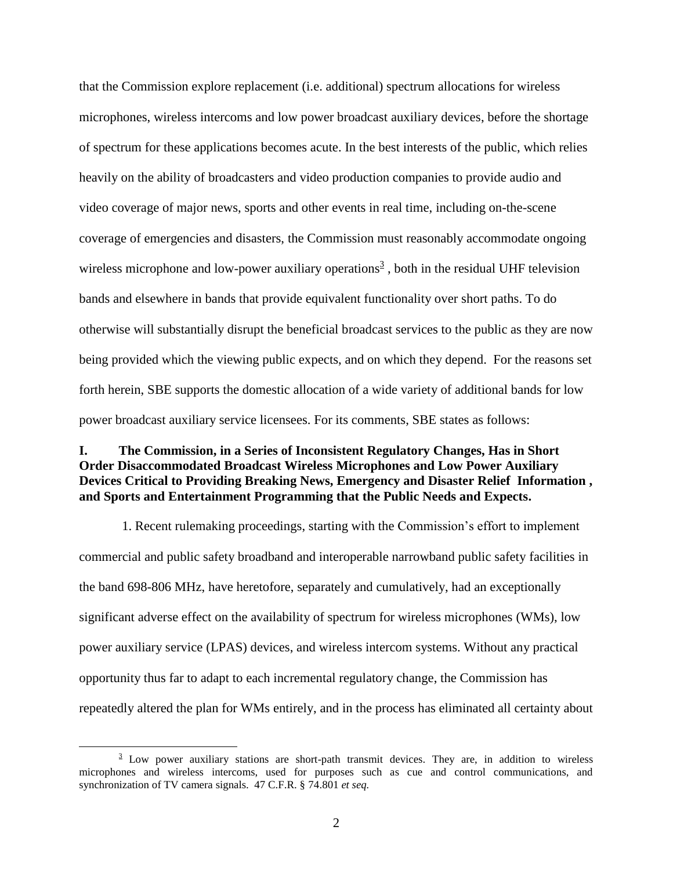that the Commission explore replacement (i.e. additional) spectrum allocations for wireless microphones, wireless intercoms and low power broadcast auxiliary devices, before the shortage of spectrum for these applications becomes acute. In the best interests of the public, which relies heavily on the ability of broadcasters and video production companies to provide audio and video coverage of major news, sports and other events in real time, including on-the-scene coverage of emergencies and disasters, the Commission must reasonably accommodate ongoing wireless microphone and low-power auxiliary operations<sup>3</sup>, both in the residual UHF television bands and elsewhere in bands that provide equivalent functionality over short paths. To do otherwise will substantially disrupt the beneficial broadcast services to the public as they are now being provided which the viewing public expects, and on which they depend. For the reasons set forth herein, SBE supports the domestic allocation of a wide variety of additional bands for low power broadcast auxiliary service licensees. For its comments, SBE states as follows:

## **I. The Commission, in a Series of Inconsistent Regulatory Changes, Has in Short Order Disaccommodated Broadcast Wireless Microphones and Low Power Auxiliary Devices Critical to Providing Breaking News, Emergency and Disaster Relief Information , and Sports and Entertainment Programming that the Public Needs and Expects.**

1. Recent rulemaking proceedings, starting with the Commission's effort to implement commercial and public safety broadband and interoperable narrowband public safety facilities in the band 698-806 MHz, have heretofore, separately and cumulatively, had an exceptionally significant adverse effect on the availability of spectrum for wireless microphones (WMs), low power auxiliary service (LPAS) devices, and wireless intercom systems. Without any practical opportunity thus far to adapt to each incremental regulatory change, the Commission has repeatedly altered the plan for WMs entirely, and in the process has eliminated all certainty about

 $\frac{3}{2}$  Low power auxiliary stations are short-path transmit devices. They are, in addition to wireless microphones and wireless intercoms, used for purposes such as cue and control communications, and synchronization of TV camera signals. 47 C.F.R. § 74.801 *et seq.*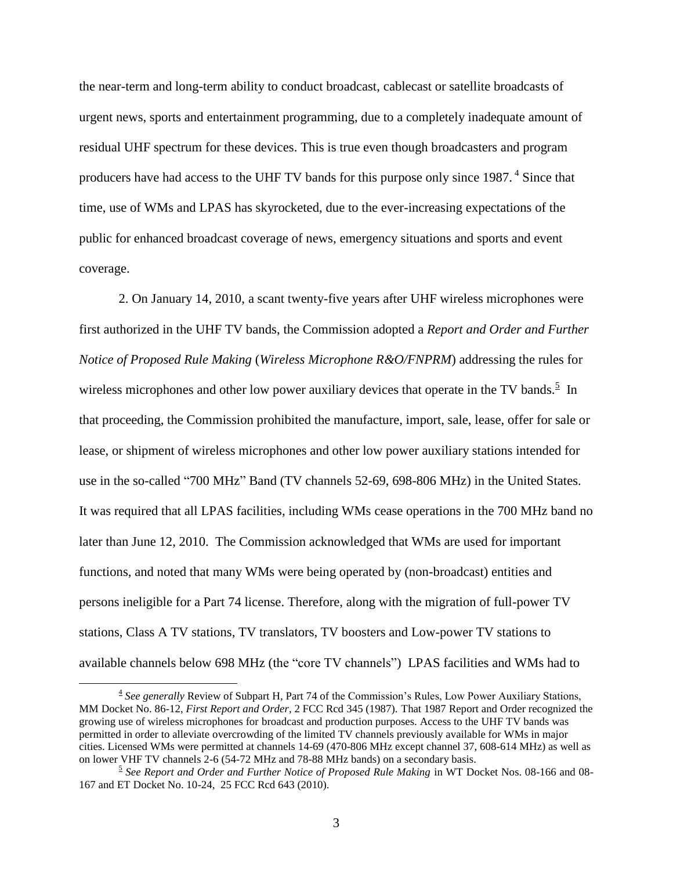the near-term and long-term ability to conduct broadcast, cablecast or satellite broadcasts of urgent news, sports and entertainment programming, due to a completely inadequate amount of residual UHF spectrum for these devices. This is true even though broadcasters and program producers have had access to the UHF TV bands for this purpose only since 1987.<sup>4</sup> Since that time, use of WMs and LPAS has skyrocketed, due to the ever-increasing expectations of the public for enhanced broadcast coverage of news, emergency situations and sports and event coverage.

2. On January 14, 2010, a scant twenty-five years after UHF wireless microphones were first authorized in the UHF TV bands, the Commission adopted a *Report and Order and Further Notice of Proposed Rule Making* (*Wireless Microphone R&O/FNPRM*) addressing the rules for wireless microphones and other low power auxiliary devices that operate in the TV bands.<sup>5</sup> In that proceeding, the Commission prohibited the manufacture, import, sale, lease, offer for sale or lease, or shipment of wireless microphones and other low power auxiliary stations intended for use in the so-called "700 MHz" Band (TV channels 52-69, 698-806 MHz) in the United States. It was required that all LPAS facilities, including WMs cease operations in the 700 MHz band no later than June 12, 2010. The Commission acknowledged that WMs are used for important functions, and noted that many WMs were being operated by (non-broadcast) entities and persons ineligible for a Part 74 license. Therefore, along with the migration of full-power TV stations, Class A TV stations, TV translators, TV boosters and Low-power TV stations to available channels below 698 MHz (the "core TV channels") LPAS facilities and WMs had to

<sup>&</sup>lt;sup>4</sup> See generally Review of Subpart H, Part 74 of the Commission's Rules, Low Power Auxiliary Stations, MM Docket No. 86-12, *First Report and Order*, 2 FCC Rcd 345 (1987). That 1987 Report and Order recognized the growing use of wireless microphones for broadcast and production purposes. Access to the UHF TV bands was permitted in order to alleviate overcrowding of the limited TV channels previously available for WMs in major cities. Licensed WMs were permitted at channels 14-69 (470-806 MHz except channel 37, 608-614 MHz) as well as on lower VHF TV channels 2-6 (54-72 MHz and 78-88 MHz bands) on a secondary basis.

<sup>5</sup> *See Report and Order and Further Notice of Proposed Rule Making* in WT Docket Nos. 08-166 and 08- 167 and ET Docket No. 10-24, 25 FCC Rcd 643 (2010).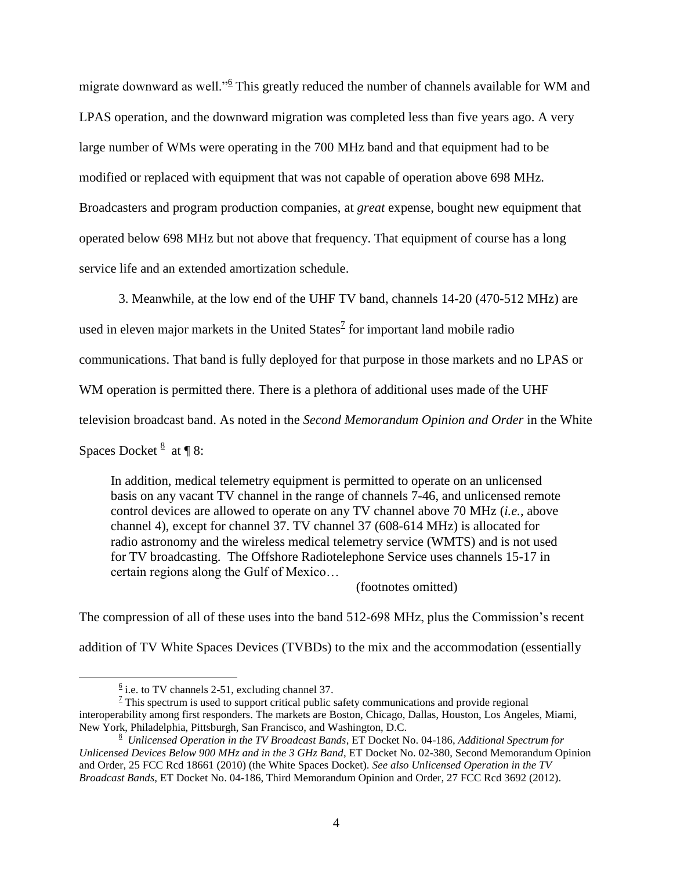migrate downward as well."<sup>6</sup> This greatly reduced the number of channels available for WM and LPAS operation, and the downward migration was completed less than five years ago. A very large number of WMs were operating in the 700 MHz band and that equipment had to be modified or replaced with equipment that was not capable of operation above 698 MHz. Broadcasters and program production companies, at *great* expense, bought new equipment that operated below 698 MHz but not above that frequency. That equipment of course has a long service life and an extended amortization schedule.

3. Meanwhile, at the low end of the UHF TV band, channels 14-20 (470-512 MHz) are

used in eleven major markets in the United States<sup> $2$ </sup> for important land mobile radio

communications. That band is fully deployed for that purpose in those markets and no LPAS or

WM operation is permitted there. There is a plethora of additional uses made of the UHF

television broadcast band. As noted in the *Second Memorandum Opinion and Order* in the White

Spaces Docket  $\frac{8}{3}$  at ¶ 8:

 $\overline{a}$ 

In addition, medical telemetry equipment is permitted to operate on an unlicensed basis on any vacant TV channel in the range of channels 7-46, and unlicensed remote control devices are allowed to operate on any TV channel above 70 MHz (*i.e.*, above channel 4), except for channel 37. TV channel 37 (608-614 MHz) is allocated for radio astronomy and the wireless medical telemetry service (WMTS) and is not used for TV broadcasting. The Offshore Radiotelephone Service uses channels 15-17 in certain regions along the Gulf of Mexico…

(footnotes omitted)

The compression of all of these uses into the band 512-698 MHz, plus the Commission's recent

addition of TV White Spaces Devices (TVBDs) to the mix and the accommodation (essentially

 $1/2$  This spectrum is used to support critical public safety communications and provide regional interoperability among first responders. The markets are Boston, Chicago, Dallas, Houston, Los Angeles, Miami, New York, Philadelphia, Pittsburgh, San Francisco, and Washington, D.C.

 $\frac{6}{6}$  i.e. to TV channels 2-51, excluding channel 37.

<sup>8</sup> *Unlicensed Operation in the TV Broadcast Bands*, ET Docket No. 04-186, *Additional Spectrum for Unlicensed Devices Below 900 MHz and in the 3 GHz Band*, ET Docket No. 02-380, Second Memorandum Opinion and Order, 25 FCC Rcd 18661 (2010) (the White Spaces Docket). *See also Unlicensed Operation in the TV Broadcast Bands*, ET Docket No. 04-186, Third Memorandum Opinion and Order, 27 FCC Rcd 3692 (2012).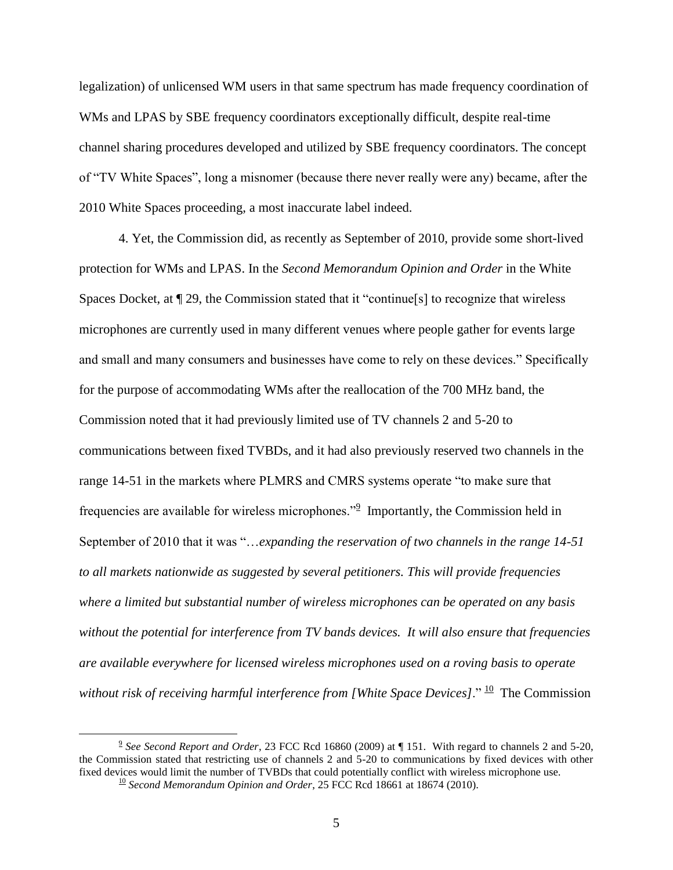legalization) of unlicensed WM users in that same spectrum has made frequency coordination of WMs and LPAS by SBE frequency coordinators exceptionally difficult, despite real-time channel sharing procedures developed and utilized by SBE frequency coordinators. The concept of "TV White Spaces", long a misnomer (because there never really were any) became, after the 2010 White Spaces proceeding, a most inaccurate label indeed.

4. Yet, the Commission did, as recently as September of 2010, provide some short-lived protection for WMs and LPAS. In the *Second Memorandum Opinion and Order* in the White Spaces Docket, at ¶ 29, the Commission stated that it "continue[s] to recognize that wireless microphones are currently used in many different venues where people gather for events large and small and many consumers and businesses have come to rely on these devices." Specifically for the purpose of accommodating WMs after the reallocation of the 700 MHz band, the Commission noted that it had previously limited use of TV channels 2 and 5-20 to communications between fixed TVBDs, and it had also previously reserved two channels in the range 14-51 in the markets where PLMRS and CMRS systems operate "to make sure that frequencies are available for wireless microphones."<sup>2</sup> Importantly, the Commission held in September of 2010 that it was "…*expanding the reservation of two channels in the range 14-51 to all markets nationwide as suggested by several petitioners. This will provide frequencies where a limited but substantial number of wireless microphones can be operated on any basis without the potential for interference from TV bands devices. It will also ensure that frequencies are available everywhere for licensed wireless microphones used on a roving basis to operate*  without risk of receiving harmful interference from [White Space Devices]." <sup>10</sup> The Commission

<sup>9</sup> *See Second Report and Order*, 23 FCC Rcd 16860 (2009) at ¶ 151. With regard to channels 2 and 5-20, the Commission stated that restricting use of channels 2 and 5-20 to communications by fixed devices with other fixed devices would limit the number of TVBDs that could potentially conflict with wireless microphone use. <sup>10</sup> Second Memorandum Opinion and Order, 25 FCC Rcd 18661 at 18674 (2010).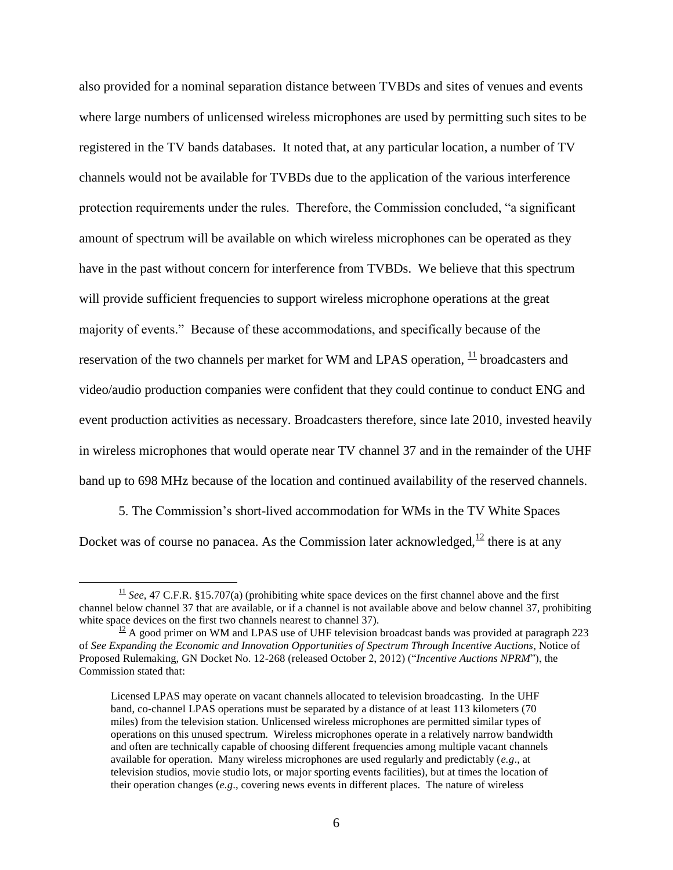also provided for a nominal separation distance between TVBDs and sites of venues and events where large numbers of unlicensed wireless microphones are used by permitting such sites to be registered in the TV bands databases. It noted that, at any particular location, a number of TV channels would not be available for TVBDs due to the application of the various interference protection requirements under the rules. Therefore, the Commission concluded, "a significant amount of spectrum will be available on which wireless microphones can be operated as they have in the past without concern for interference from TVBDs. We believe that this spectrum will provide sufficient frequencies to support wireless microphone operations at the great majority of events." Because of these accommodations, and specifically because of the reservation of the two channels per market for WM and LPAS operation,  $\frac{11}{10}$  broadcasters and video/audio production companies were confident that they could continue to conduct ENG and event production activities as necessary. Broadcasters therefore, since late 2010, invested heavily in wireless microphones that would operate near TV channel 37 and in the remainder of the UHF band up to 698 MHz because of the location and continued availability of the reserved channels.

5. The Commission's short-lived accommodation for WMs in the TV White Spaces Docket was of course no panacea. As the Commission later acknowledged,  $\frac{12}{12}$  there is at any

 $\frac{11}{1}$  *See*, 47 C.F.R. §15.707(a) (prohibiting white space devices on the first channel above and the first channel below channel 37 that are available, or if a channel is not available above and below channel 37, prohibiting white space devices on the first two channels nearest to channel 37).

 $\frac{12}{2}$  A good primer on WM and LPAS use of UHF television broadcast bands was provided at paragraph 223 of *See Expanding the Economic and Innovation Opportunities of Spectrum Through Incentive Auctions*, Notice of Proposed Rulemaking, GN Docket No. 12-268 (released October 2, 2012) ("*Incentive Auctions NPRM*"), the Commission stated that:

Licensed LPAS may operate on vacant channels allocated to television broadcasting. In the UHF band, co-channel LPAS operations must be separated by a distance of at least 113 kilometers (70 miles) from the television station. Unlicensed wireless microphones are permitted similar types of operations on this unused spectrum. Wireless microphones operate in a relatively narrow bandwidth and often are technically capable of choosing different frequencies among multiple vacant channels available for operation. Many wireless microphones are used regularly and predictably (*e.g*., at television studios, movie studio lots, or major sporting events facilities), but at times the location of their operation changes (*e.g*., covering news events in different places. The nature of wireless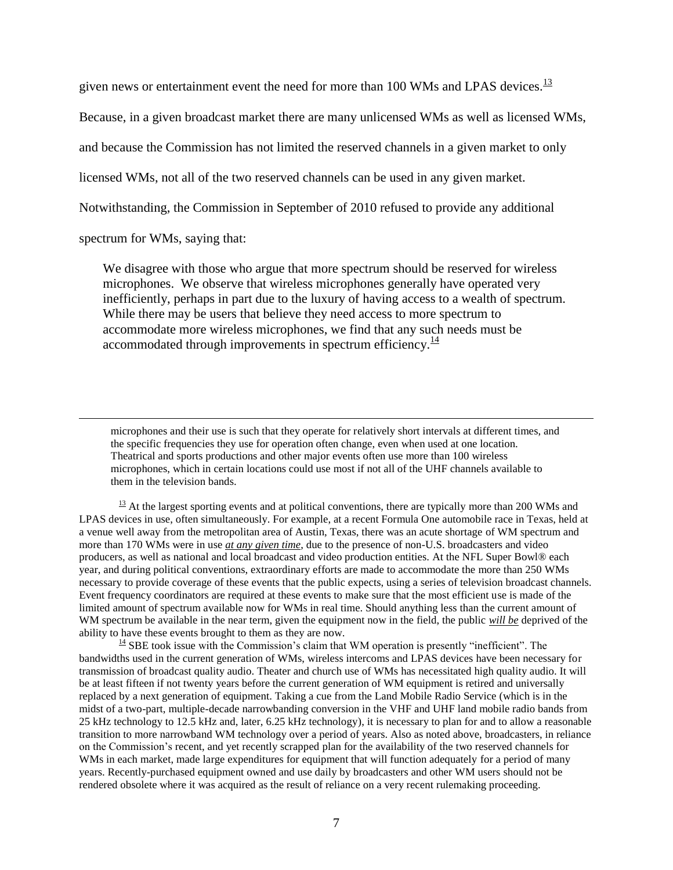given news or entertainment event the need for more than 100 WMs and LPAS devices.<sup>13</sup>

Because, in a given broadcast market there are many unlicensed WMs as well as licensed WMs,

and because the Commission has not limited the reserved channels in a given market to only

licensed WMs, not all of the two reserved channels can be used in any given market.

Notwithstanding, the Commission in September of 2010 refused to provide any additional

spectrum for WMs, saying that:

 $\overline{a}$ 

We disagree with those who argue that more spectrum should be reserved for wireless microphones. We observe that wireless microphones generally have operated very inefficiently, perhaps in part due to the luxury of having access to a wealth of spectrum. While there may be users that believe they need access to more spectrum to accommodate more wireless microphones, we find that any such needs must be accommodated through improvements in spectrum efficiency. $\frac{14}{14}$ 

microphones and their use is such that they operate for relatively short intervals at different times, and the specific frequencies they use for operation often change, even when used at one location. Theatrical and sports productions and other major events often use more than 100 wireless microphones, which in certain locations could use most if not all of the UHF channels available to them in the television bands.

 $\frac{13}{13}$  At the largest sporting events and at political conventions, there are typically more than 200 WMs and LPAS devices in use, often simultaneously. For example, at a recent Formula One automobile race in Texas, held at a venue well away from the metropolitan area of Austin, Texas, there was an acute shortage of WM spectrum and more than 170 WMs were in use *at any given time*, due to the presence of non-U.S. broadcasters and video producers, as well as national and local broadcast and video production entities. At the NFL Super Bowl® each year, and during political conventions, extraordinary efforts are made to accommodate the more than 250 WMs necessary to provide coverage of these events that the public expects, using a series of television broadcast channels. Event frequency coordinators are required at these events to make sure that the most efficient use is made of the limited amount of spectrum available now for WMs in real time. Should anything less than the current amount of WM spectrum be available in the near term, given the equipment now in the field, the public *will be* deprived of the ability to have these events brought to them as they are now.

 $\frac{14}{14}$  SBE took issue with the Commission's claim that WM operation is presently "inefficient". The bandwidths used in the current generation of WMs, wireless intercoms and LPAS devices have been necessary for transmission of broadcast quality audio. Theater and church use of WMs has necessitated high quality audio. It will be at least fifteen if not twenty years before the current generation of WM equipment is retired and universally replaced by a next generation of equipment. Taking a cue from the Land Mobile Radio Service (which is in the midst of a two-part, multiple-decade narrowbanding conversion in the VHF and UHF land mobile radio bands from 25 kHz technology to 12.5 kHz and, later, 6.25 kHz technology), it is necessary to plan for and to allow a reasonable transition to more narrowband WM technology over a period of years. Also as noted above, broadcasters, in reliance on the Commission's recent, and yet recently scrapped plan for the availability of the two reserved channels for WMs in each market, made large expenditures for equipment that will function adequately for a period of many years. Recently-purchased equipment owned and use daily by broadcasters and other WM users should not be rendered obsolete where it was acquired as the result of reliance on a very recent rulemaking proceeding.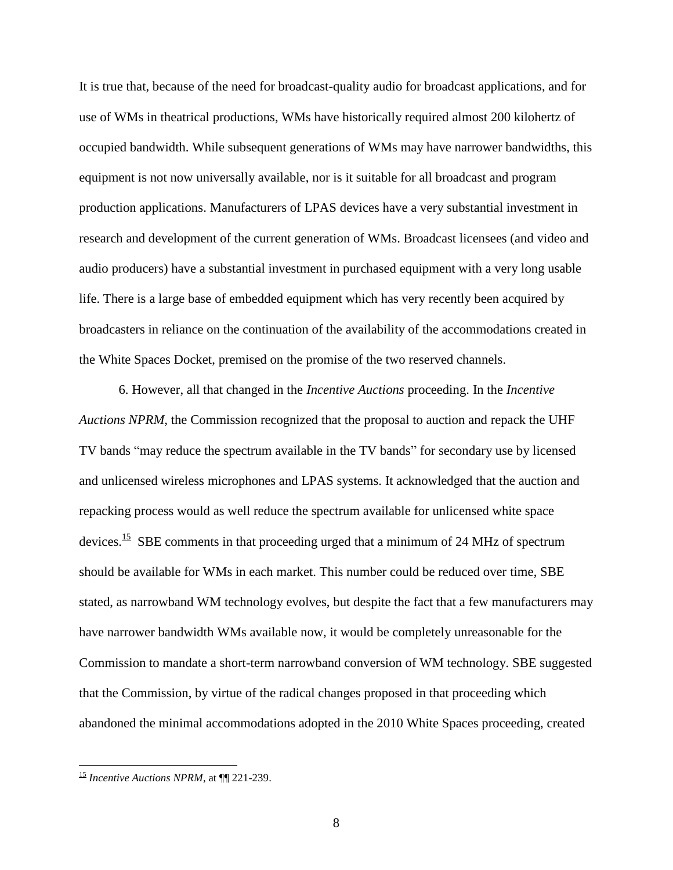It is true that, because of the need for broadcast-quality audio for broadcast applications, and for use of WMs in theatrical productions, WMs have historically required almost 200 kilohertz of occupied bandwidth. While subsequent generations of WMs may have narrower bandwidths, this equipment is not now universally available, nor is it suitable for all broadcast and program production applications. Manufacturers of LPAS devices have a very substantial investment in research and development of the current generation of WMs. Broadcast licensees (and video and audio producers) have a substantial investment in purchased equipment with a very long usable life. There is a large base of embedded equipment which has very recently been acquired by broadcasters in reliance on the continuation of the availability of the accommodations created in the White Spaces Docket, premised on the promise of the two reserved channels.

6. However, all that changed in the *Incentive Auctions* proceeding. In the *Incentive Auctions NPRM,* the Commission recognized that the proposal to auction and repack the UHF TV bands "may reduce the spectrum available in the TV bands" for secondary use by licensed and unlicensed wireless microphones and LPAS systems. It acknowledged that the auction and repacking process would as well reduce the spectrum available for unlicensed white space devices.<sup>15</sup> SBE comments in that proceeding urged that a minimum of 24 MHz of spectrum should be available for WMs in each market. This number could be reduced over time, SBE stated, as narrowband WM technology evolves, but despite the fact that a few manufacturers may have narrower bandwidth WMs available now, it would be completely unreasonable for the Commission to mandate a short-term narrowband conversion of WM technology. SBE suggested that the Commission, by virtue of the radical changes proposed in that proceeding which abandoned the minimal accommodations adopted in the 2010 White Spaces proceeding, created

<sup>15</sup> *Incentive Auctions NPRM*, at ¶¶ 221-239.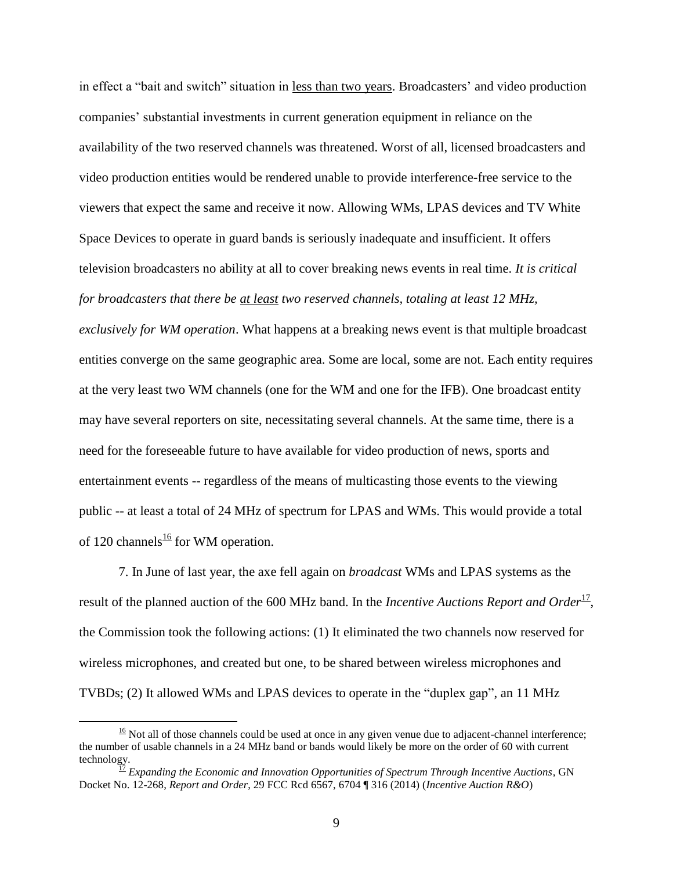in effect a "bait and switch" situation in less than two years. Broadcasters' and video production companies' substantial investments in current generation equipment in reliance on the availability of the two reserved channels was threatened. Worst of all, licensed broadcasters and video production entities would be rendered unable to provide interference-free service to the viewers that expect the same and receive it now. Allowing WMs, LPAS devices and TV White Space Devices to operate in guard bands is seriously inadequate and insufficient. It offers television broadcasters no ability at all to cover breaking news events in real time. *It is critical for broadcasters that there be at least two reserved channels, totaling at least 12 MHz,* 

*exclusively for WM operation*. What happens at a breaking news event is that multiple broadcast entities converge on the same geographic area. Some are local, some are not. Each entity requires at the very least two WM channels (one for the WM and one for the IFB). One broadcast entity may have several reporters on site, necessitating several channels. At the same time, there is a need for the foreseeable future to have available for video production of news, sports and entertainment events -- regardless of the means of multicasting those events to the viewing public -- at least a total of 24 MHz of spectrum for LPAS and WMs. This would provide a total of 120 channels<sup>16</sup> for WM operation.

7. In June of last year, the axe fell again on *broadcast* WMs and LPAS systems as the result of the planned auction of the 600 MHz band. In the *Incentive Auctions Report and Order*<sup>17</sup>, the Commission took the following actions: (1) It eliminated the two channels now reserved for wireless microphones, and created but one, to be shared between wireless microphones and TVBDs; (2) It allowed WMs and LPAS devices to operate in the "duplex gap", an 11 MHz

 $\frac{16}{16}$  Not all of those channels could be used at once in any given venue due to adjacent-channel interference; the number of usable channels in a 24 MHz band or bands would likely be more on the order of 60 with current technology.

<sup>17</sup> *Expanding the Economic and Innovation Opportunities of Spectrum Through Incentive Auctions*, GN Docket No. 12-268, *Report and Order*, 29 FCC Rcd 6567, 6704 ¶ 316 (2014) (*Incentive Auction R&O*)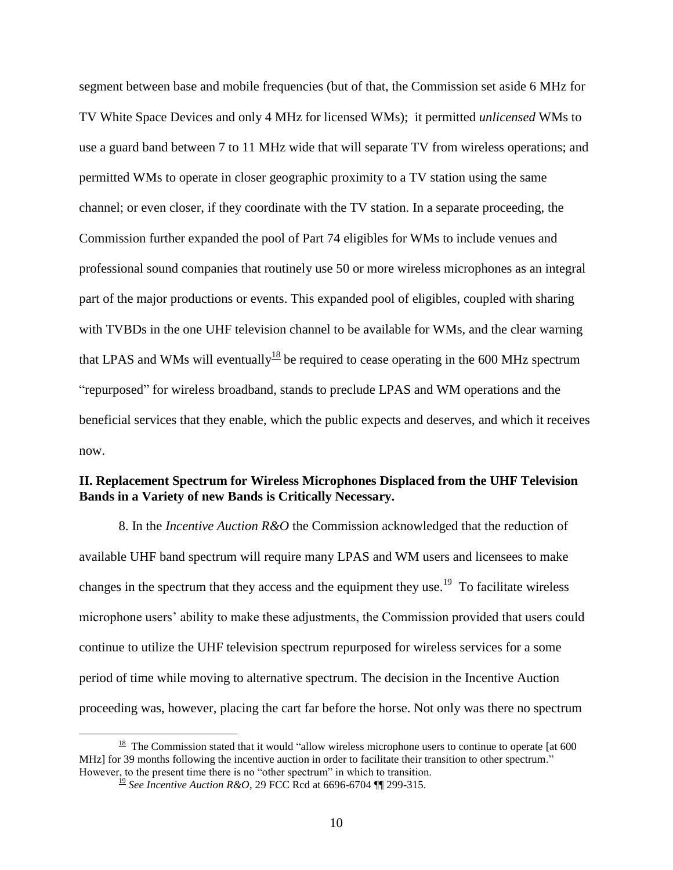segment between base and mobile frequencies (but of that, the Commission set aside 6 MHz for TV White Space Devices and only 4 MHz for licensed WMs); it permitted *unlicensed* WMs to use a guard band between 7 to 11 MHz wide that will separate TV from wireless operations; and permitted WMs to operate in closer geographic proximity to a TV station using the same channel; or even closer, if they coordinate with the TV station. In a separate proceeding, the Commission further expanded the pool of Part 74 eligibles for WMs to include venues and professional sound companies that routinely use 50 or more wireless microphones as an integral part of the major productions or events. This expanded pool of eligibles, coupled with sharing with TVBDs in the one UHF television channel to be available for WMs, and the clear warning that LPAS and WMs will eventually<sup>18</sup> be required to cease operating in the 600 MHz spectrum "repurposed" for wireless broadband, stands to preclude LPAS and WM operations and the beneficial services that they enable, which the public expects and deserves, and which it receives now.

## **II. Replacement Spectrum for Wireless Microphones Displaced from the UHF Television Bands in a Variety of new Bands is Critically Necessary.**

8. In the *Incentive Auction R&O* the Commission acknowledged that the reduction of available UHF band spectrum will require many LPAS and WM users and licensees to make changes in the spectrum that they access and the equipment they use.<sup>19</sup> To facilitate wireless microphone users' ability to make these adjustments, the Commission provided that users could continue to utilize the UHF television spectrum repurposed for wireless services for a some period of time while moving to alternative spectrum. The decision in the Incentive Auction proceeding was, however, placing the cart far before the horse. Not only was there no spectrum

 $\frac{18}{18}$  The Commission stated that it would "allow wireless microphone users to continue to operate [at 600 MHz] for 39 months following the incentive auction in order to facilitate their transition to other spectrum." However, to the present time there is no "other spectrum" in which to transition.

<sup>19</sup> *See Incentive Auction R&O*, 29 FCC Rcd at 6696-6704 ¶¶ 299-315.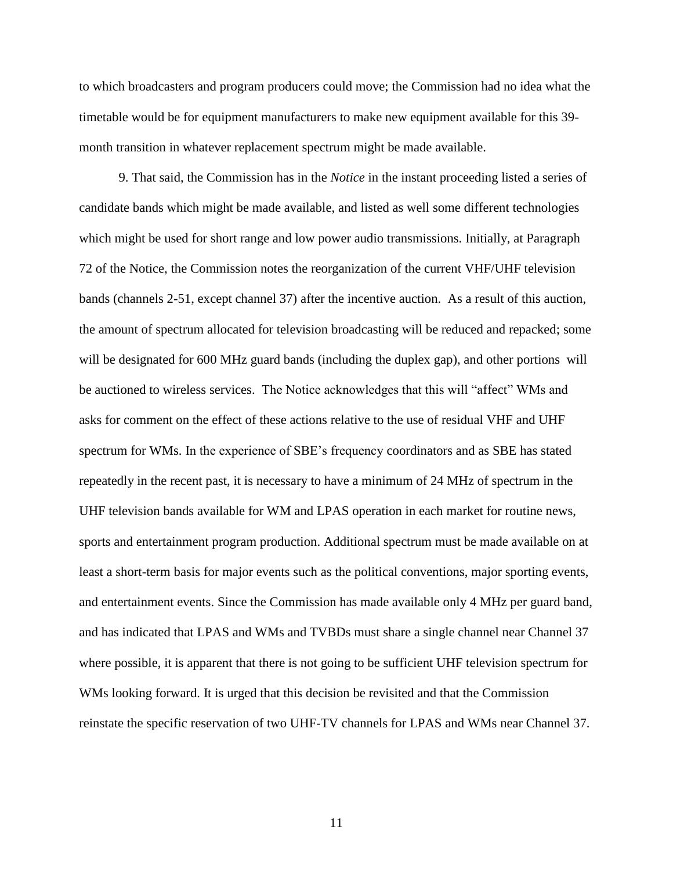to which broadcasters and program producers could move; the Commission had no idea what the timetable would be for equipment manufacturers to make new equipment available for this 39 month transition in whatever replacement spectrum might be made available.

9. That said, the Commission has in the *Notice* in the instant proceeding listed a series of candidate bands which might be made available, and listed as well some different technologies which might be used for short range and low power audio transmissions. Initially, at Paragraph 72 of the Notice, the Commission notes the reorganization of the current VHF/UHF television bands (channels 2-51, except channel 37) after the incentive auction. As a result of this auction, the amount of spectrum allocated for television broadcasting will be reduced and repacked; some will be designated for 600 MHz guard bands (including the duplex gap), and other portions will be auctioned to wireless services. The Notice acknowledges that this will "affect" WMs and asks for comment on the effect of these actions relative to the use of residual VHF and UHF spectrum for WMs. In the experience of SBE's frequency coordinators and as SBE has stated repeatedly in the recent past, it is necessary to have a minimum of 24 MHz of spectrum in the UHF television bands available for WM and LPAS operation in each market for routine news, sports and entertainment program production. Additional spectrum must be made available on at least a short-term basis for major events such as the political conventions, major sporting events, and entertainment events. Since the Commission has made available only 4 MHz per guard band, and has indicated that LPAS and WMs and TVBDs must share a single channel near Channel 37 where possible, it is apparent that there is not going to be sufficient UHF television spectrum for WMs looking forward. It is urged that this decision be revisited and that the Commission reinstate the specific reservation of two UHF-TV channels for LPAS and WMs near Channel 37.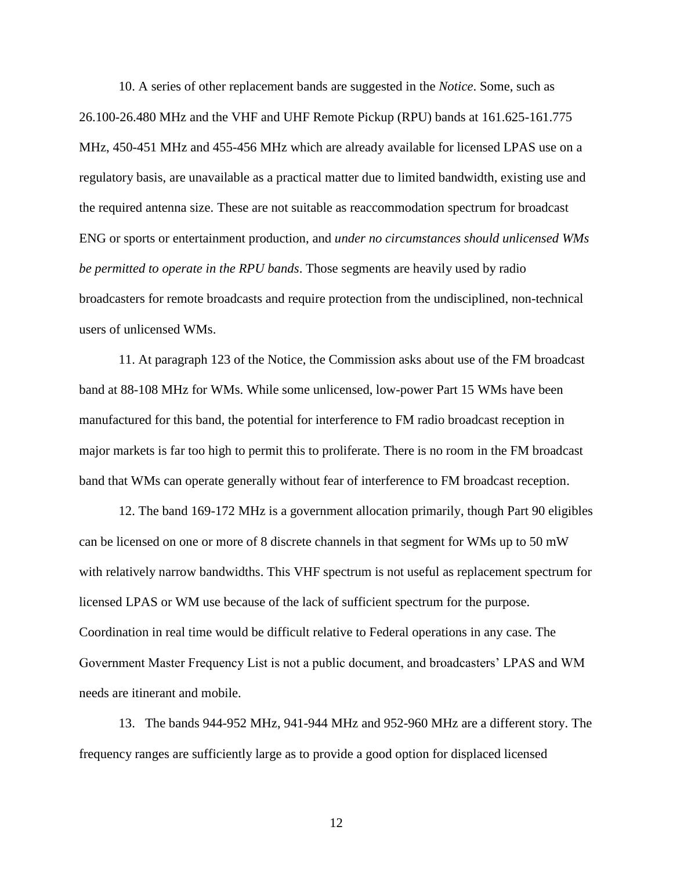10. A series of other replacement bands are suggested in the *Notice*. Some, such as 26.100-26.480 MHz and the VHF and UHF Remote Pickup (RPU) bands at 161.625-161.775 MHz, 450-451 MHz and 455-456 MHz which are already available for licensed LPAS use on a regulatory basis, are unavailable as a practical matter due to limited bandwidth, existing use and the required antenna size. These are not suitable as reaccommodation spectrum for broadcast ENG or sports or entertainment production, and *under no circumstances should unlicensed WMs be permitted to operate in the RPU bands*. Those segments are heavily used by radio broadcasters for remote broadcasts and require protection from the undisciplined, non-technical users of unlicensed WMs.

11. At paragraph 123 of the Notice, the Commission asks about use of the FM broadcast band at 88-108 MHz for WMs. While some unlicensed, low-power Part 15 WMs have been manufactured for this band, the potential for interference to FM radio broadcast reception in major markets is far too high to permit this to proliferate. There is no room in the FM broadcast band that WMs can operate generally without fear of interference to FM broadcast reception.

12. The band 169-172 MHz is a government allocation primarily, though Part 90 eligibles can be licensed on one or more of 8 discrete channels in that segment for WMs up to 50 mW with relatively narrow bandwidths. This VHF spectrum is not useful as replacement spectrum for licensed LPAS or WM use because of the lack of sufficient spectrum for the purpose. Coordination in real time would be difficult relative to Federal operations in any case. The Government Master Frequency List is not a public document, and broadcasters' LPAS and WM needs are itinerant and mobile.

13. The bands 944-952 MHz, 941-944 MHz and 952-960 MHz are a different story. The frequency ranges are sufficiently large as to provide a good option for displaced licensed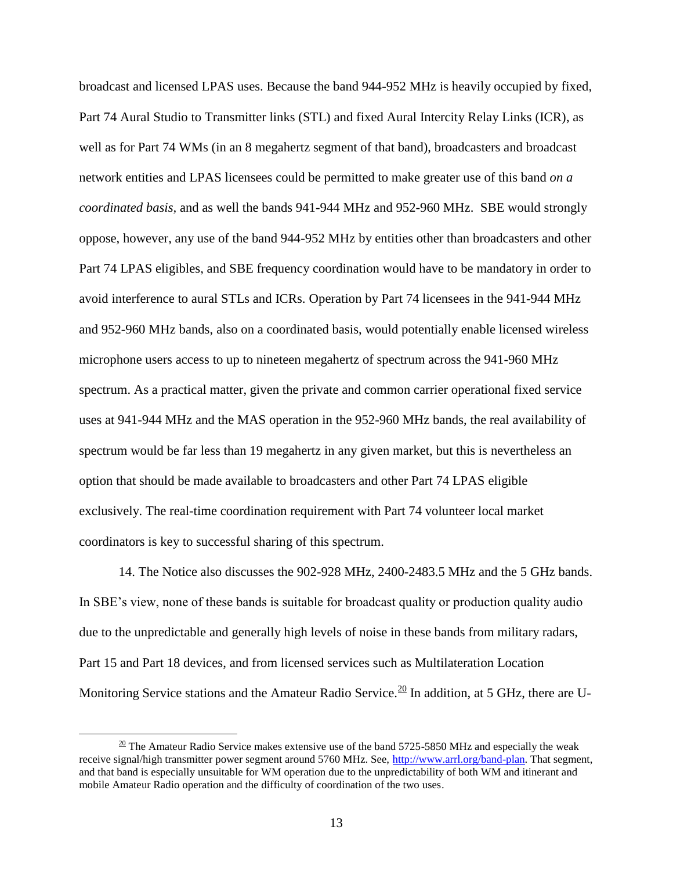broadcast and licensed LPAS uses. Because the band 944-952 MHz is heavily occupied by fixed, Part 74 Aural Studio to Transmitter links (STL) and fixed Aural Intercity Relay Links (ICR), as well as for Part 74 WMs (in an 8 megahertz segment of that band), broadcasters and broadcast network entities and LPAS licensees could be permitted to make greater use of this band *on a coordinated basis,* and as well the bands 941-944 MHz and 952-960 MHz. SBE would strongly oppose, however, any use of the band 944-952 MHz by entities other than broadcasters and other Part 74 LPAS eligibles, and SBE frequency coordination would have to be mandatory in order to avoid interference to aural STLs and ICRs. Operation by Part 74 licensees in the 941-944 MHz and 952-960 MHz bands, also on a coordinated basis, would potentially enable licensed wireless microphone users access to up to nineteen megahertz of spectrum across the 941-960 MHz spectrum. As a practical matter, given the private and common carrier operational fixed service uses at 941-944 MHz and the MAS operation in the 952-960 MHz bands, the real availability of spectrum would be far less than 19 megahertz in any given market, but this is nevertheless an option that should be made available to broadcasters and other Part 74 LPAS eligible exclusively. The real-time coordination requirement with Part 74 volunteer local market coordinators is key to successful sharing of this spectrum.

14. The Notice also discusses the 902-928 MHz, 2400-2483.5 MHz and the 5 GHz bands. In SBE's view, none of these bands is suitable for broadcast quality or production quality audio due to the unpredictable and generally high levels of noise in these bands from military radars, Part 15 and Part 18 devices, and from licensed services such as Multilateration Location Monitoring Service stations and the Amateur Radio Service.<sup>20</sup> In addition, at 5 GHz, there are U-

 $\frac{20}{20}$  The Amateur Radio Service makes extensive use of the band 5725-5850 MHz and especially the weak receive signal/high transmitter power segment around 5760 MHz. See, [http://www.arrl.org/band-plan.](http://www.arrl.org/band-plan) That segment, and that band is especially unsuitable for WM operation due to the unpredictability of both WM and itinerant and mobile Amateur Radio operation and the difficulty of coordination of the two uses.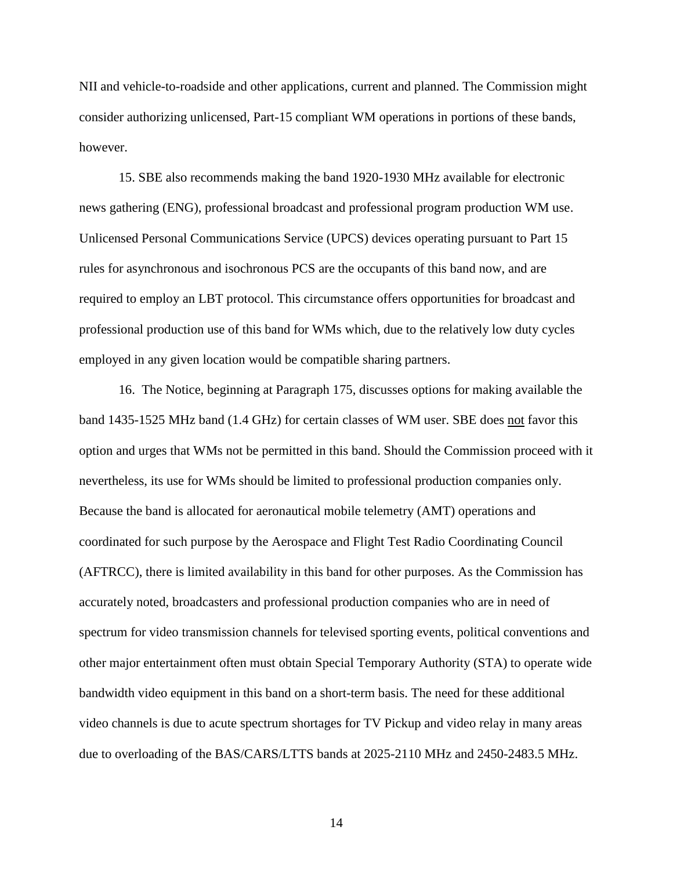NII and vehicle-to-roadside and other applications, current and planned. The Commission might consider authorizing unlicensed, Part-15 compliant WM operations in portions of these bands, however.

15. SBE also recommends making the band 1920-1930 MHz available for electronic news gathering (ENG), professional broadcast and professional program production WM use. Unlicensed Personal Communications Service (UPCS) devices operating pursuant to Part 15 rules for asynchronous and isochronous PCS are the occupants of this band now, and are required to employ an LBT protocol. This circumstance offers opportunities for broadcast and professional production use of this band for WMs which, due to the relatively low duty cycles employed in any given location would be compatible sharing partners.

16. The Notice, beginning at Paragraph 175, discusses options for making available the band 1435-1525 MHz band (1.4 GHz) for certain classes of WM user. SBE does not favor this option and urges that WMs not be permitted in this band. Should the Commission proceed with it nevertheless, its use for WMs should be limited to professional production companies only. Because the band is allocated for aeronautical mobile telemetry (AMT) operations and coordinated for such purpose by the Aerospace and Flight Test Radio Coordinating Council (AFTRCC), there is limited availability in this band for other purposes. As the Commission has accurately noted, broadcasters and professional production companies who are in need of spectrum for video transmission channels for televised sporting events, political conventions and other major entertainment often must obtain Special Temporary Authority (STA) to operate wide bandwidth video equipment in this band on a short-term basis. The need for these additional video channels is due to acute spectrum shortages for TV Pickup and video relay in many areas due to overloading of the BAS/CARS/LTTS bands at 2025-2110 MHz and 2450-2483.5 MHz.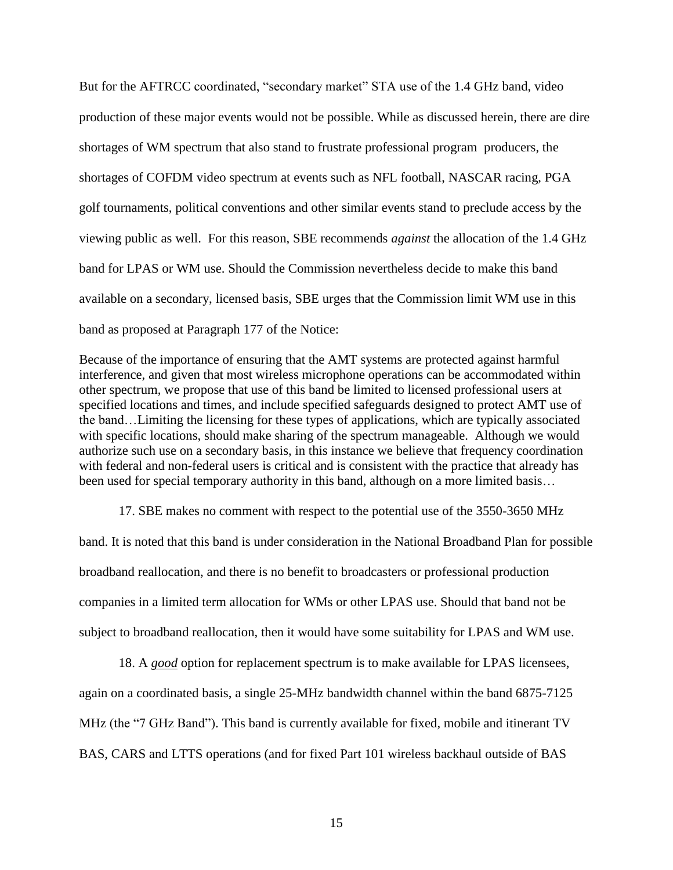But for the AFTRCC coordinated, "secondary market" STA use of the 1.4 GHz band, video production of these major events would not be possible. While as discussed herein, there are dire shortages of WM spectrum that also stand to frustrate professional program producers, the shortages of COFDM video spectrum at events such as NFL football, NASCAR racing, PGA golf tournaments, political conventions and other similar events stand to preclude access by the viewing public as well. For this reason, SBE recommends *against* the allocation of the 1.4 GHz band for LPAS or WM use. Should the Commission nevertheless decide to make this band available on a secondary, licensed basis, SBE urges that the Commission limit WM use in this band as proposed at Paragraph 177 of the Notice:

Because of the importance of ensuring that the AMT systems are protected against harmful interference, and given that most wireless microphone operations can be accommodated within other spectrum, we propose that use of this band be limited to licensed professional users at specified locations and times, and include specified safeguards designed to protect AMT use of the band…Limiting the licensing for these types of applications, which are typically associated with specific locations, should make sharing of the spectrum manageable. Although we would authorize such use on a secondary basis, in this instance we believe that frequency coordination with federal and non-federal users is critical and is consistent with the practice that already has been used for special temporary authority in this band, although on a more limited basis...

17. SBE makes no comment with respect to the potential use of the 3550-3650 MHz band. It is noted that this band is under consideration in the National Broadband Plan for possible broadband reallocation, and there is no benefit to broadcasters or professional production companies in a limited term allocation for WMs or other LPAS use. Should that band not be subject to broadband reallocation, then it would have some suitability for LPAS and WM use.

18. A *good* option for replacement spectrum is to make available for LPAS licensees, again on a coordinated basis, a single 25-MHz bandwidth channel within the band 6875-7125 MHz (the "7 GHz Band"). This band is currently available for fixed, mobile and itinerant TV BAS, CARS and LTTS operations (and for fixed Part 101 wireless backhaul outside of BAS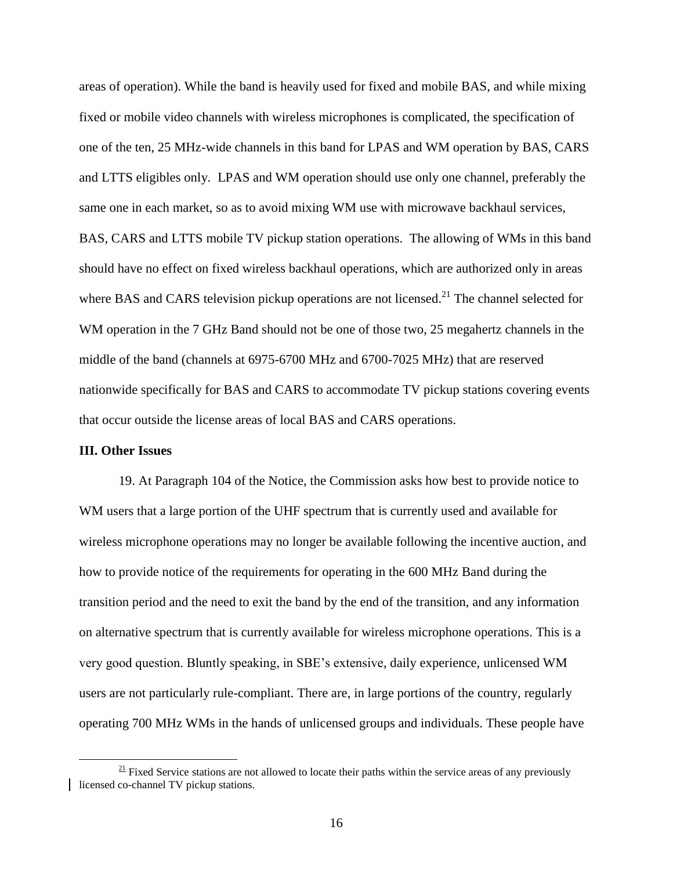areas of operation). While the band is heavily used for fixed and mobile BAS, and while mixing fixed or mobile video channels with wireless microphones is complicated, the specification of one of the ten, 25 MHz-wide channels in this band for LPAS and WM operation by BAS, CARS and LTTS eligibles only. LPAS and WM operation should use only one channel, preferably the same one in each market, so as to avoid mixing WM use with microwave backhaul services, BAS, CARS and LTTS mobile TV pickup station operations. The allowing of WMs in this band should have no effect on fixed wireless backhaul operations, which are authorized only in areas where BAS and CARS television pickup operations are not licensed.<sup>21</sup> The channel selected for WM operation in the 7 GHz Band should not be one of those two, 25 megahertz channels in the middle of the band (channels at 6975-6700 MHz and 6700-7025 MHz) that are reserved nationwide specifically for BAS and CARS to accommodate TV pickup stations covering events that occur outside the license areas of local BAS and CARS operations.

#### **III. Other Issues**

 $\overline{a}$ 

19. At Paragraph 104 of the Notice, the Commission asks how best to provide notice to WM users that a large portion of the UHF spectrum that is currently used and available for wireless microphone operations may no longer be available following the incentive auction, and how to provide notice of the requirements for operating in the 600 MHz Band during the transition period and the need to exit the band by the end of the transition, and any information on alternative spectrum that is currently available for wireless microphone operations. This is a very good question. Bluntly speaking, in SBE's extensive, daily experience, unlicensed WM users are not particularly rule-compliant. There are, in large portions of the country, regularly operating 700 MHz WMs in the hands of unlicensed groups and individuals. These people have

 $\frac{21}{21}$  Fixed Service stations are not allowed to locate their paths within the service areas of any previously licensed co-channel TV pickup stations.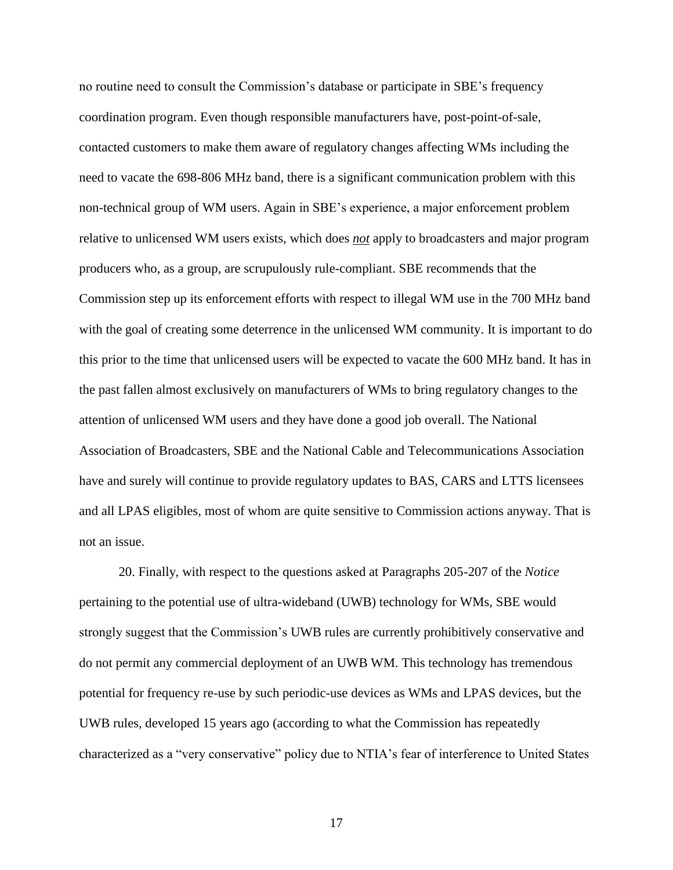no routine need to consult the Commission's database or participate in SBE's frequency coordination program. Even though responsible manufacturers have, post-point-of-sale, contacted customers to make them aware of regulatory changes affecting WMs including the need to vacate the 698-806 MHz band, there is a significant communication problem with this non-technical group of WM users. Again in SBE's experience, a major enforcement problem relative to unlicensed WM users exists, which does *not* apply to broadcasters and major program producers who, as a group, are scrupulously rule-compliant. SBE recommends that the Commission step up its enforcement efforts with respect to illegal WM use in the 700 MHz band with the goal of creating some deterrence in the unlicensed WM community. It is important to do this prior to the time that unlicensed users will be expected to vacate the 600 MHz band. It has in the past fallen almost exclusively on manufacturers of WMs to bring regulatory changes to the attention of unlicensed WM users and they have done a good job overall. The National Association of Broadcasters, SBE and the National Cable and Telecommunications Association have and surely will continue to provide regulatory updates to BAS, CARS and LTTS licensees and all LPAS eligibles, most of whom are quite sensitive to Commission actions anyway. That is not an issue.

20. Finally, with respect to the questions asked at Paragraphs 205-207 of the *Notice* pertaining to the potential use of ultra-wideband (UWB) technology for WMs, SBE would strongly suggest that the Commission's UWB rules are currently prohibitively conservative and do not permit any commercial deployment of an UWB WM. This technology has tremendous potential for frequency re-use by such periodic-use devices as WMs and LPAS devices, but the UWB rules, developed 15 years ago (according to what the Commission has repeatedly characterized as a "very conservative" policy due to NTIA's fear of interference to United States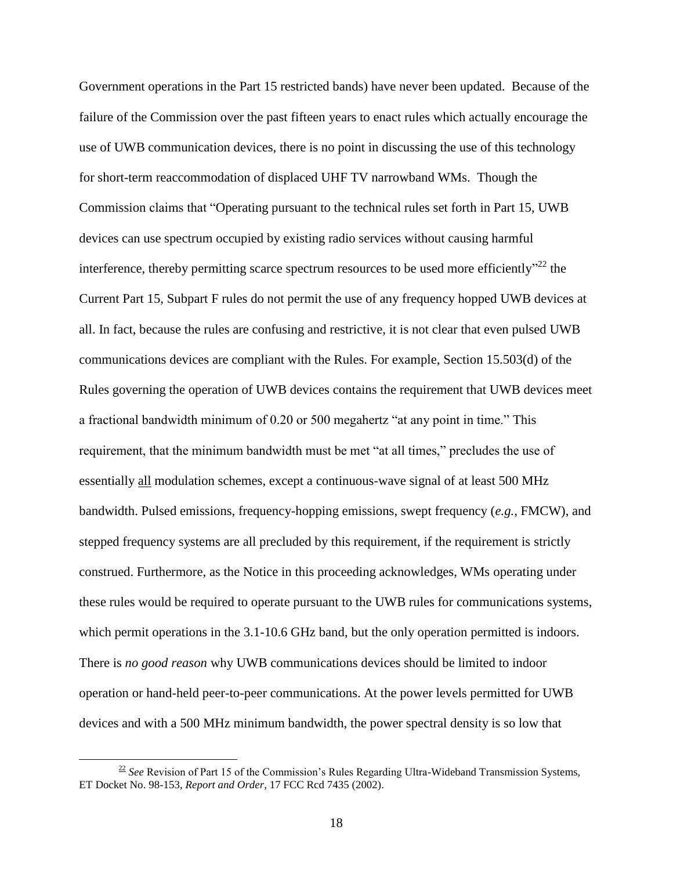Government operations in the Part 15 restricted bands) have never been updated. Because of the failure of the Commission over the past fifteen years to enact rules which actually encourage the use of UWB communication devices, there is no point in discussing the use of this technology for short-term reaccommodation of displaced UHF TV narrowband WMs. Though the Commission claims that "Operating pursuant to the technical rules set forth in Part 15, UWB devices can use spectrum occupied by existing radio services without causing harmful interference, thereby permitting scarce spectrum resources to be used more efficiently"<sup>22</sup> the Current Part 15, Subpart F rules do not permit the use of any frequency hopped UWB devices at all. In fact, because the rules are confusing and restrictive, it is not clear that even pulsed UWB communications devices are compliant with the Rules. For example, Section 15.503(d) of the Rules governing the operation of UWB devices contains the requirement that UWB devices meet a fractional bandwidth minimum of 0.20 or 500 megahertz "at any point in time." This requirement, that the minimum bandwidth must be met "at all times," precludes the use of essentially all modulation schemes, except a continuous-wave signal of at least 500 MHz bandwidth. Pulsed emissions, frequency-hopping emissions, swept frequency (*e.g.*, FMCW), and stepped frequency systems are all precluded by this requirement, if the requirement is strictly construed. Furthermore, as the Notice in this proceeding acknowledges, WMs operating under these rules would be required to operate pursuant to the UWB rules for communications systems, which permit operations in the 3.1-10.6 GHz band, but the only operation permitted is indoors. There is *no good reason* why UWB communications devices should be limited to indoor operation or hand-held peer-to-peer communications. At the power levels permitted for UWB devices and with a 500 MHz minimum bandwidth, the power spectral density is so low that

<sup>&</sup>lt;sup>22</sup> See Revision of Part 15 of the Commission's Rules Regarding Ultra-Wideband Transmission Systems, ET Docket No. 98-153, *Report and Order*, 17 FCC Rcd 7435 (2002).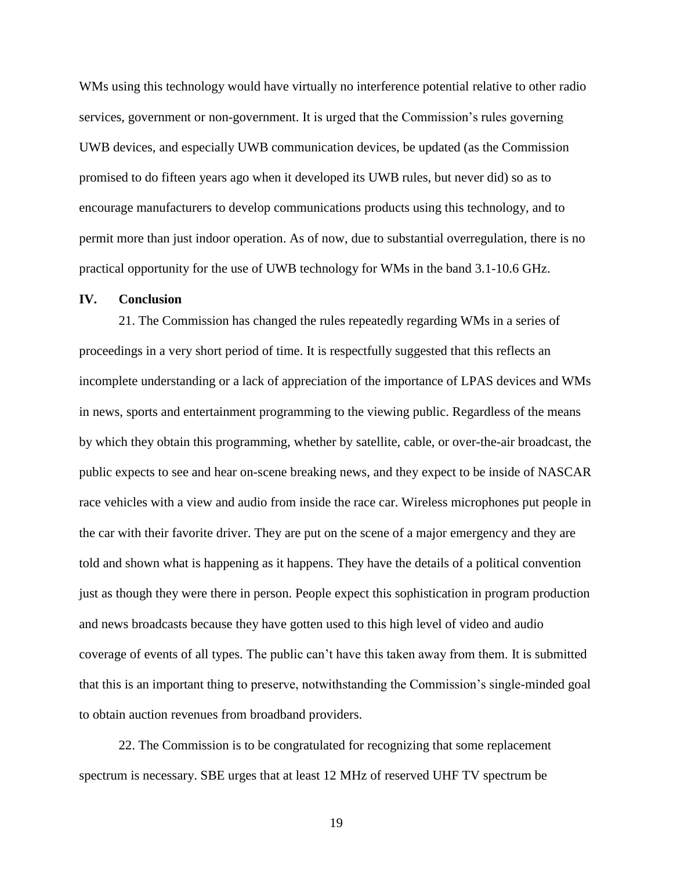WMs using this technology would have virtually no interference potential relative to other radio services, government or non-government. It is urged that the Commission's rules governing UWB devices, and especially UWB communication devices, be updated (as the Commission promised to do fifteen years ago when it developed its UWB rules, but never did) so as to encourage manufacturers to develop communications products using this technology, and to permit more than just indoor operation. As of now, due to substantial overregulation, there is no practical opportunity for the use of UWB technology for WMs in the band 3.1-10.6 GHz.

#### **IV. Conclusion**

21. The Commission has changed the rules repeatedly regarding WMs in a series of proceedings in a very short period of time. It is respectfully suggested that this reflects an incomplete understanding or a lack of appreciation of the importance of LPAS devices and WMs in news, sports and entertainment programming to the viewing public. Regardless of the means by which they obtain this programming, whether by satellite, cable, or over-the-air broadcast, the public expects to see and hear on-scene breaking news, and they expect to be inside of NASCAR race vehicles with a view and audio from inside the race car. Wireless microphones put people in the car with their favorite driver. They are put on the scene of a major emergency and they are told and shown what is happening as it happens. They have the details of a political convention just as though they were there in person. People expect this sophistication in program production and news broadcasts because they have gotten used to this high level of video and audio coverage of events of all types. The public can't have this taken away from them. It is submitted that this is an important thing to preserve, notwithstanding the Commission's single-minded goal to obtain auction revenues from broadband providers.

22. The Commission is to be congratulated for recognizing that some replacement spectrum is necessary. SBE urges that at least 12 MHz of reserved UHF TV spectrum be